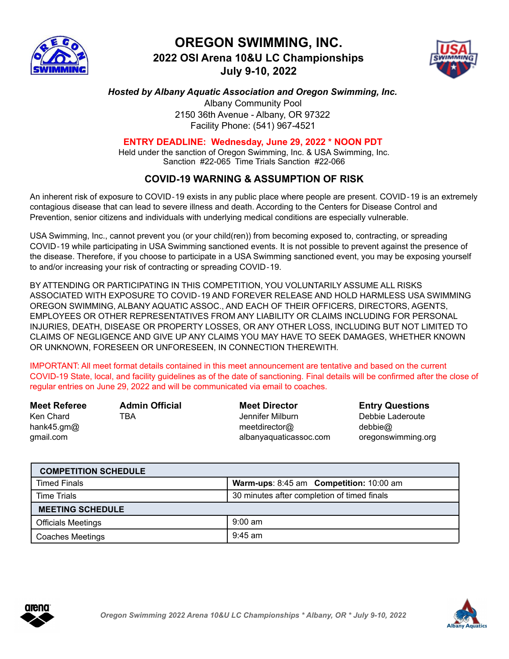

## **OREGON SWIMMING, INC. 2022 OSI Arena 10&U LC Championships July 9-10, 2022**



## *Hosted by Albany Aquatic Association and Oregon Swimming, Inc.*

Albany Community Pool 2150 36th Avenue - Albany, OR 97322 Facility Phone: (541) 967-4521

## **ENTRY DEADLINE: Wednesday, June 29, 2022 \* NOON PDT**

Held under the sanction of Oregon Swimming, Inc. & USA Swimming, Inc. Sanction #22-065 Time Trials Sanction #22-066

## **COVID**‐**19 WARNING & ASSUMPTION OF RISK**

An inherent risk of exposure to COVID‐19 exists in any public place where people are present. COVID‐19 is an extremely contagious disease that can lead to severe illness and death. According to the Centers for Disease Control and Prevention, senior citizens and individuals with underlying medical conditions are especially vulnerable.

USA Swimming, Inc., cannot prevent you (or your child(ren)) from becoming exposed to, contracting, or spreading COVID‐19 while participating in USA Swimming sanctioned events. It is not possible to prevent against the presence of the disease. Therefore, if you choose to participate in a USA Swimming sanctioned event, you may be exposing yourself to and/or increasing your risk of contracting or spreading COVID‐19.

BY ATTENDING OR PARTICIPATING IN THIS COMPETITION, YOU VOLUNTARILY ASSUME ALL RISKS ASSOCIATED WITH EXPOSURE TO COVID‐19 AND FOREVER RELEASE AND HOLD HARMLESS USA SWIMMING OREGON SWIMMING, ALBANY AQUATIC ASSOC., AND EACH OF THEIR OFFICERS, DIRECTORS, AGENTS, EMPLOYEES OR OTHER REPRESENTATIVES FROM ANY LIABILITY OR CLAIMS INCLUDING FOR PERSONAL INJURIES, DEATH, DISEASE OR PROPERTY LOSSES, OR ANY OTHER LOSS, INCLUDING BUT NOT LIMITED TO CLAIMS OF NEGLIGENCE AND GIVE UP ANY CLAIMS YOU MAY HAVE TO SEEK DAMAGES, WHETHER KNOWN OR UNKNOWN, FORESEEN OR UNFORESEEN, IN CONNECTION THEREWITH.

IMPORTANT: All meet format details contained in this meet announcement are tentative and based on the current COVID-19 State, local, and facility guidelines as of the date of sanctioning. Final details will be confirmed after the close of regular entries on June 29, 2022 and will be communicated via email to coaches.

| <b>Meet Referee</b> | <b>Admin Official</b> | <b>Meet Director</b>   | <b>Entry Questions</b> |
|---------------------|-----------------------|------------------------|------------------------|
| Ken Chard           | TBA                   | Jennifer Milburn       | Debbie Laderoute       |
| hank45.gm $@$       |                       | meetdirector@          | debbie@                |
| gmail.com           |                       | albanyaquaticassoc.com | oregonswimming.org     |

| <b>COMPETITION SCHEDULE</b> |                                             |  |  |  |  |
|-----------------------------|---------------------------------------------|--|--|--|--|
| <b>Timed Finals</b>         | Warm-ups: 8:45 am Competition: 10:00 am     |  |  |  |  |
| <b>Time Trials</b>          | 30 minutes after completion of timed finals |  |  |  |  |
| <b>MEETING SCHEDULE</b>     |                                             |  |  |  |  |
| <b>Officials Meetings</b>   | $9:00 \text{ am}$                           |  |  |  |  |
| <b>Coaches Meetings</b>     | $9:45$ am                                   |  |  |  |  |



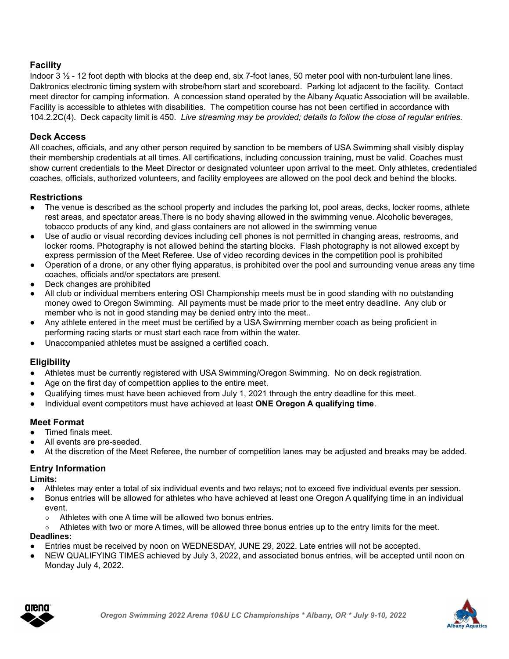## **Facility**

Indoor 3 ½ - 12 foot depth with blocks at the deep end, six 7-foot lanes, 50 meter pool with non-turbulent lane lines. Daktronics electronic timing system with strobe/horn start and scoreboard. Parking lot adjacent to the facility. Contact meet director for camping information. A concession stand operated by the Albany Aquatic Association will be available. Facility is accessible to athletes with disabilities. The competition course has not been certified in accordance with 104.2.2C(4). Deck capacity limit is 450. *Live streaming may be provided; details to follow the close of regular entries.*

## **Deck Access**

All coaches, officials, and any other person required by sanction to be members of USA Swimming shall visibly display their membership credentials at all times. All certifications, including concussion training, must be valid. Coaches must show current credentials to the Meet Director or designated volunteer upon arrival to the meet. Only athletes, credentialed coaches, officials, authorized volunteers, and facility employees are allowed on the pool deck and behind the blocks.

## **Restrictions**

- The venue is described as the school property and includes the parking lot, pool areas, decks, locker rooms, athlete rest areas, and spectator areas.There is no body shaving allowed in the swimming venue. Alcoholic beverages, tobacco products of any kind, and glass containers are not allowed in the swimming venue
- Use of audio or visual recording devices including cell phones is not permitted in changing areas, restrooms, and locker rooms. Photography is not allowed behind the starting blocks. Flash photography is not allowed except by express permission of the Meet Referee. Use of video recording devices in the competition pool is prohibited
- Operation of a drone, or any other flying apparatus, is prohibited over the pool and surrounding venue areas any time coaches, officials and/or spectators are present.
- Deck changes are prohibited
- All club or individual members entering OSI Championship meets must be in good standing with no outstanding money owed to Oregon Swimming. All payments must be made prior to the meet entry deadline. Any club or member who is not in good standing may be denied entry into the meet..
- Any athlete entered in the meet must be certified by a USA Swimming member coach as being proficient in performing racing starts or must start each race from within the water.
- Unaccompanied athletes must be assigned a certified coach.

## **Eligibility**

- Athletes must be currently registered with USA Swimming/Oregon Swimming. No on deck registration.
- Age on the first day of competition applies to the entire meet.
- Qualifying times must have been achieved from July 1, 2021 through the entry deadline for this meet.
- Individual event competitors must have achieved at least **ONE Oregon A qualifying time**.

## **Meet Format**

- Timed finals meet.
- All events are pre-seeded.
- At the discretion of the Meet Referee, the number of competition lanes may be adjusted and breaks may be added.

## **Entry Information**

#### **Limits:**

- Athletes may enter a total of six individual events and two relays; not to exceed five individual events per session.
- Bonus entries will be allowed for athletes who have achieved at least one Oregon A qualifying time in an individual event.
	- Athletes with one A time will be allowed two bonus entries.
- Athletes with two or more A times, will be allowed three bonus entries up to the entry limits for the meet. **Deadlines:**
- Entries must be received by noon on WEDNESDAY, JUNE 29, 2022. Late entries will not be accepted.
- NEW QUALIFYING TIMES achieved by July 3, 2022, and associated bonus entries, will be accepted until noon on Monday July 4, 2022.



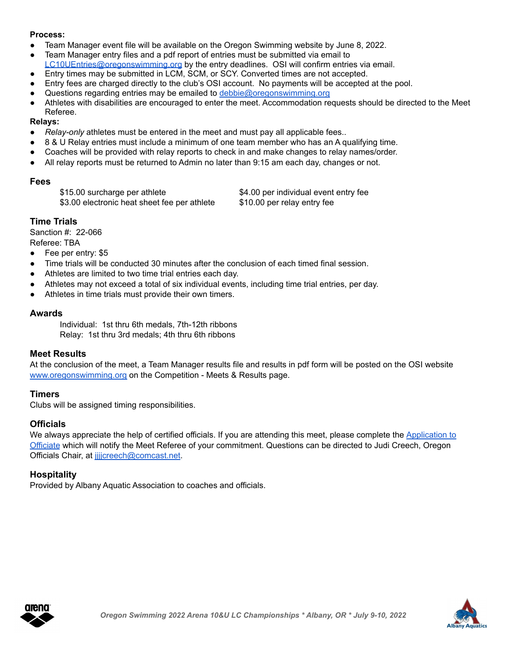#### **Process:**

- Team Manager event file will be available on the Oregon Swimming website by June 8, 2022.
- Team Manager entry files and a pdf report of entries must be submitted via email to [LC10UEntries@oregonswimming.org](mailto:LC10UEntries@oregonswimming.org) by the entry deadlines. OSI will confirm entries via email.
- Entry times may be submitted in LCM, SCM, or SCY. Converted times are not accepted.
- Entry fees are charged directly to the club's OSI account. No payments will be accepted at the pool.
- Questions regarding entries may be emailed to [debbie@oregonswimming.org](mailto:office@oregonswimming.org)
- Athletes with disabilities are encouraged to enter the meet. Accommodation requests should be directed to the Meet Referee.

#### **Relays:**

- *Relay-only* athletes must be entered in the meet and must pay all applicable fees..
- 8 & U Relay entries must include a minimum of one team member who has an A qualifying time.
- Coaches will be provided with relay reports to check in and make changes to relay names/order.
- All relay reports must be returned to Admin no later than 9:15 am each day, changes or not.

#### **Fees**

\$15.00 surcharge per athlete \$4.00 per individual event entry fee \$3.00 electronic heat sheet fee per athlete \$10.00 per relay entry fee

## **Time Trials**

Sanction #: 22-066 Referee: TBA

- Fee per entry: \$5
- Time trials will be conducted 30 minutes after the conclusion of each timed final session.
- Athletes are limited to two time trial entries each day.
- Athletes may not exceed a total of six individual events, including time trial entries, per day.
- Athletes in time trials must provide their own timers.

#### **Awards**

Individual: 1st thru 6th medals, 7th-12th ribbons Relay: 1st thru 3rd medals; 4th thru 6th ribbons

#### **Meet Results**

At the conclusion of the meet, a Team Manager results file and results in pdf form will be posted on the OSI website [www.oregonswimming.org](http://www.oregonswimming.org) on the Competition - Meets & Results page.

#### **Timers**

Clubs will be assigned timing responsibilities.

## **Officials**

We always appreciate the help of certified officials. If you are attending this meet, please complete the [Application](https://forms.gle/wHRyho3K2F3jLjjL8) to [Officiate](https://forms.gle/wHRyho3K2F3jLjjL8) which will notify the Meet Referee of your commitment. Questions can be directed to Judi Creech, Oregon Officials Chair, at [jjjjcreech@comcast.net](mailto:jjjjcreech@comcast.net).

## **Hospitality**

Provided by Albany Aquatic Association to coaches and officials.



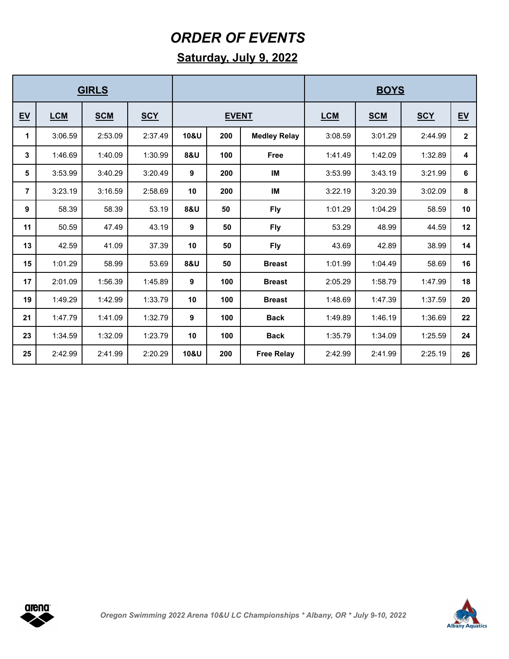## *ORDER OF EVENTS*

## **Saturday, July 9, 2022**

| <b>GIRLS</b>   |            |            |            |              |     | <b>BOYS</b>         |            |            |            |              |  |
|----------------|------------|------------|------------|--------------|-----|---------------------|------------|------------|------------|--------------|--|
| EV             | <b>LCM</b> | <b>SCM</b> | <b>SCY</b> | <b>EVENT</b> |     |                     | <b>LCM</b> | <b>SCM</b> | <b>SCY</b> | EV           |  |
| 1              | 3:06.59    | 2:53.09    | 2:37.49    | 10&U         | 200 | <b>Medley Relay</b> | 3:08.59    | 3:01.29    | 2:44.99    | $\mathbf{2}$ |  |
| 3              | 1:46.69    | 1:40.09    | 1:30.99    | 8&U          | 100 | <b>Free</b>         | 1:41.49    | 1:42.09    | 1:32.89    | 4            |  |
| 5              | 3:53.99    | 3:40.29    | 3:20.49    | 9            | 200 | IM                  | 3:53.99    | 3:43.19    | 3:21.99    | 6            |  |
| $\overline{7}$ | 3:23.19    | 3:16.59    | 2:58.69    | 10           | 200 | IM                  | 3:22.19    | 3:20.39    | 3:02.09    | 8            |  |
| 9              | 58.39      | 58.39      | 53.19      | 8&U          | 50  | <b>Fly</b>          | 1:01.29    | 1:04.29    | 58.59      | 10           |  |
| 11             | 50.59      | 47.49      | 43.19      | 9            | 50  | <b>Fly</b>          | 53.29      | 48.99      | 44.59      | 12           |  |
| 13             | 42.59      | 41.09      | 37.39      | 10           | 50  | <b>Fly</b>          | 43.69      | 42.89      | 38.99      | 14           |  |
| 15             | 1:01.29    | 58.99      | 53.69      | 8&U          | 50  | <b>Breast</b>       | 1:01.99    | 1:04.49    | 58.69      | 16           |  |
| 17             | 2:01.09    | 1:56.39    | 1:45.89    | 9            | 100 | <b>Breast</b>       | 2:05.29    | 1:58.79    | 1:47.99    | 18           |  |
| 19             | 1:49.29    | 1:42.99    | 1:33.79    | 10           | 100 | <b>Breast</b>       | 1:48.69    | 1:47.39    | 1:37.59    | 20           |  |
| 21             | 1:47.79    | 1:41.09    | 1:32.79    | 9            | 100 | <b>Back</b>         | 1:49.89    | 1:46.19    | 1:36.69    | 22           |  |
| 23             | 1:34.59    | 1:32.09    | 1:23.79    | 10           | 100 | <b>Back</b>         | 1:35.79    | 1:34.09    | 1:25.59    | 24           |  |
| 25             | 2:42.99    | 2:41.99    | 2:20.29    | 10&U         | 200 | <b>Free Relay</b>   | 2:42.99    | 2:41.99    | 2:25.19    | 26           |  |